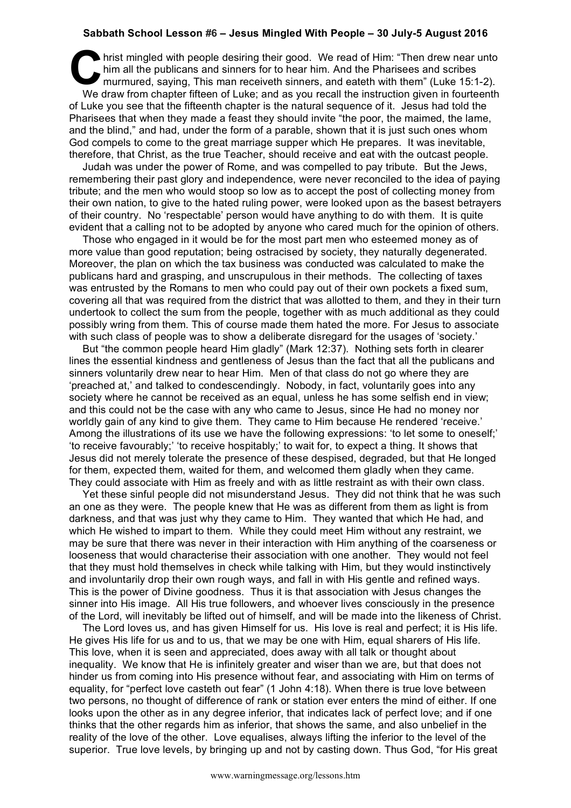## **Sabbath School Lesson #6 – Jesus Mingled With People – 30 July-5 August 2016**

hrist mingled with people desiring their good. We read of Him: "Then drew near unto<br>him all the publicans and sinners for to hear him. And the Pharisees and scribes<br>murmured, saying, This man receiveth sinners, and eateth him all the publicans and sinners for to hear him. And the Pharisees and scribes murmured, saying, This man receiveth sinners, and eateth with them" (Luke 15:1-2). We draw from chapter fifteen of Luke; and as you recall the instruction given in fourteenth of Luke you see that the fifteenth chapter is the natural sequence of it. Jesus had told the Pharisees that when they made a feast they should invite "the poor, the maimed, the lame, and the blind," and had, under the form of a parable, shown that it is just such ones whom God compels to come to the great marriage supper which He prepares. It was inevitable, therefore, that Christ, as the true Teacher, should receive and eat with the outcast people.

Judah was under the power of Rome, and was compelled to pay tribute. But the Jews, remembering their past glory and independence, were never reconciled to the idea of paying tribute; and the men who would stoop so low as to accept the post of collecting money from their own nation, to give to the hated ruling power, were looked upon as the basest betrayers of their country. No 'respectable' person would have anything to do with them. It is quite evident that a calling not to be adopted by anyone who cared much for the opinion of others.

Those who engaged in it would be for the most part men who esteemed money as of more value than good reputation; being ostracised by society, they naturally degenerated. Moreover, the plan on which the tax business was conducted was calculated to make the publicans hard and grasping, and unscrupulous in their methods. The collecting of taxes was entrusted by the Romans to men who could pay out of their own pockets a fixed sum, covering all that was required from the district that was allotted to them, and they in their turn undertook to collect the sum from the people, together with as much additional as they could possibly wring from them. This of course made them hated the more. For Jesus to associate with such class of people was to show a deliberate disregard for the usages of 'society.'

But "the common people heard Him gladly" (Mark 12:37). Nothing sets forth in clearer lines the essential kindness and gentleness of Jesus than the fact that all the publicans and sinners voluntarily drew near to hear Him. Men of that class do not go where they are 'preached at,' and talked to condescendingly. Nobody, in fact, voluntarily goes into any society where he cannot be received as an equal, unless he has some selfish end in view; and this could not be the case with any who came to Jesus, since He had no money nor worldly gain of any kind to give them. They came to Him because He rendered 'receive.' Among the illustrations of its use we have the following expressions: 'to let some to oneself;' 'to receive favourably;' 'to receive hospitably;' to wait for, to expect a thing. It shows that Jesus did not merely tolerate the presence of these despised, degraded, but that He longed for them, expected them, waited for them, and welcomed them gladly when they came. They could associate with Him as freely and with as little restraint as with their own class.

Yet these sinful people did not misunderstand Jesus. They did not think that he was such an one as they were. The people knew that He was as different from them as light is from darkness, and that was just why they came to Him. They wanted that which He had, and which He wished to impart to them. While they could meet Him without any restraint, we may be sure that there was never in their interaction with Him anything of the coarseness or looseness that would characterise their association with one another. They would not feel that they must hold themselves in check while talking with Him, but they would instinctively and involuntarily drop their own rough ways, and fall in with His gentle and refined ways. This is the power of Divine goodness. Thus it is that association with Jesus changes the sinner into His image. All His true followers, and whoever lives consciously in the presence of the Lord, will inevitably be lifted out of himself, and will be made into the likeness of Christ.

The Lord loves us, and has given Himself for us. His love is real and perfect; it is His life. He gives His life for us and to us, that we may be one with Him, equal sharers of His life. This love, when it is seen and appreciated, does away with all talk or thought about inequality. We know that He is infinitely greater and wiser than we are, but that does not hinder us from coming into His presence without fear, and associating with Him on terms of equality, for "perfect love casteth out fear" (1 John 4:18). When there is true love between two persons, no thought of difference of rank or station ever enters the mind of either. If one looks upon the other as in any degree inferior, that indicates lack of perfect love; and if one thinks that the other regards him as inferior, that shows the same, and also unbelief in the reality of the love of the other. Love equalises, always lifting the inferior to the level of the superior. True love levels, by bringing up and not by casting down. Thus God, "for His great